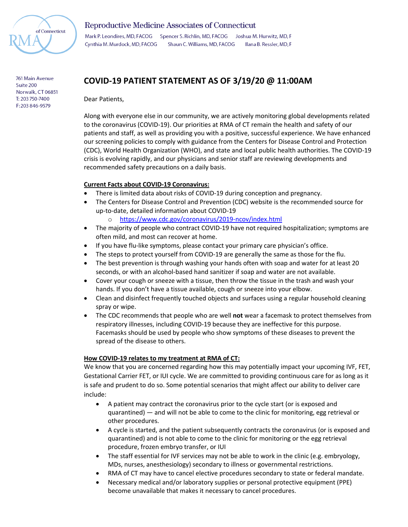

**Reproductive Medicine Associates of Connecticut** 

Mark P. Leondires, MD, FACOG Spencer S. Richlin, MD, FACOG Joshua M. Hurwitz, MD, F Shaun C. Williams, MD, FACOG Cynthia M. Murdock, MD, FACOG Ilana B. Ressler, MD, F

#### 761 Main Avenue Suite 200 Norwalk, CT 06851 T: 203 750-7400 F:203 846-9579

# **COVID-19 PATIENT STATEMENT AS OF 3/19/20 @ 11:00AM**

Dear Patients,

Along with everyone else in our community, we are actively monitoring global developments related to the coronavirus (COVID-19). Our priorities at RMA of CT remain the health and safety of our patients and staff, as well as providing you with a positive, successful experience. We have enhanced our screening policies to comply with guidance from the Centers for Disease Control and Protection (CDC), World Health Organization (WHO), and state and local public health authorities. The COVID-19 crisis is evolving rapidly, and our physicians and senior staff are reviewing developments and recommended safety precautions on a daily basis.

## **Current Facts about COVID-19 Coronavirus:**

- There is limited data about risks of COVID-19 during conception and pregnancy.
- The Centers for Disease Control and Prevention (CDC) website is the recommended source for up-to-date, detailed information about COVID-19
	- o <https://www.cdc.gov/coronavirus/2019-ncov/index.html>
- The majority of people who contract COVID-19 have not required hospitalization; symptoms are often mild, and most can recover at home.
- If you have flu-like symptoms, please contact your primary care physician's office.
- The steps to protect yourself from COVID-19 are generally the same as those for the flu.
- The best prevention is through washing your hands often with soap and water for at least 20 seconds, or with an alcohol-based hand sanitizer if soap and water are not available.
- Cover your cough or sneeze with a tissue, then throw the tissue in the trash and wash your hands. If you don't have a tissue available, cough or sneeze into your elbow.
- Clean and disinfect frequently touched objects and surfaces using a regular household cleaning spray or wipe.
- The CDC recommends that people who are well **not** wear a facemask to protect themselves from respiratory illnesses, including COVID-19 because they are ineffective for this purpose. Facemasks should be used by people who show symptoms of these diseases to prevent the spread of the disease to others.

### **How COVID-19 relates to my treatment at RMA of CT:**

We know that you are concerned regarding how this may potentially impact your upcoming IVF, FET, Gestational Carrier FET, or IUI cycle. We are committed to providing continuous care for as long as it is safe and prudent to do so. Some potential scenarios that might affect our ability to deliver care include:

- A patient may contract the coronavirus prior to the cycle start (or is exposed and quarantined) — and will not be able to come to the clinic for monitoring, egg retrieval or other procedures.
- A cycle is started, and the patient subsequently contracts the coronavirus (or is exposed and quarantined) and is not able to come to the clinic for monitoring or the egg retrieval procedure, frozen embryo transfer, or IUI
- The staff essential for IVF services may not be able to work in the clinic (e.g. embryology, MDs, nurses, anesthesiology) secondary to illness or governmental restrictions.
- RMA of CT may have to cancel elective procedures secondary to state or federal mandate.
- Necessary medical and/or laboratory supplies or personal protective equipment (PPE) become unavailable that makes it necessary to cancel procedures.